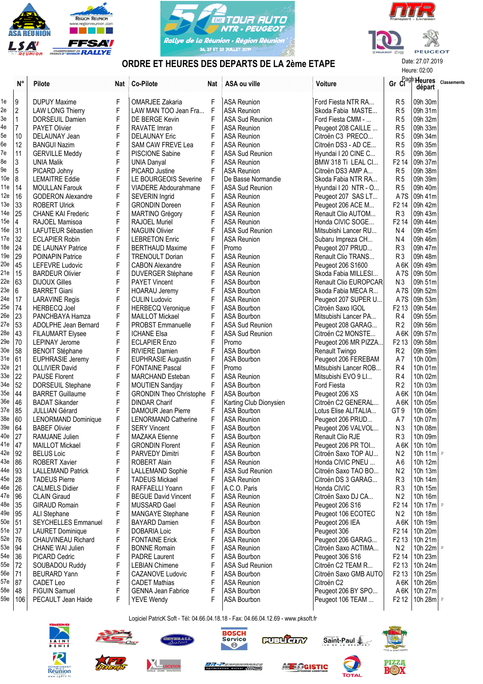





## ORDRE ET HEURES DES DEPARTS DE LA 2ème ETAPE

|                 |                |                                                     |             |                                                        |     | URDRE ET HEURES DES DEPARTS DE LA ZOMO ETAPE |                                      | Heure: 02:00                     |                                       |                    |
|-----------------|----------------|-----------------------------------------------------|-------------|--------------------------------------------------------|-----|----------------------------------------------|--------------------------------------|----------------------------------|---------------------------------------|--------------------|
|                 | $N^{\circ}$    | <b>Pilote</b>                                       | <b>Nat</b>  | <b>Co-Pilote</b>                                       | Nat | ASA ou ville                                 | Voiture                              |                                  | Gr Cl <sup>age</sup> Heures<br>départ | <b>Classements</b> |
| 1e              | Ι9             | <b>DUPUY Maxime</b>                                 | F           | OMARJEE Zakaria                                        | F   | <b>ASA Reunion</b>                           | Ford Fiesta NTR RA                   | R <sub>5</sub>                   | 09h 30m                               |                    |
| 2e              | $\overline{2}$ | <b>LAW LONG Thierry</b>                             | F           | LAW MAN TOO Jean Fra                                   | F   | <b>ASA Reunion</b>                           | Skoda Fabia MASTE                    | R <sub>5</sub>                   | 09h 31m                               |                    |
| 3e              | 1              | DORSEUIL Damien                                     | F           | DE BERGE Kevin                                         | F   | <b>ASA Sud Reunion</b>                       | Ford Fiesta CMM -                    | R <sub>5</sub>                   | 09h 32m                               |                    |
| 4e              | $\overline{7}$ | PAYET Olivier                                       | F           | RAVATE Imran                                           | F   | <b>ASA Reunion</b>                           | Peugeot 208 CAILLE                   | R <sub>5</sub>                   | 09h 33m                               |                    |
| 5e              | 10             | DELAUNAY Jean                                       | F           | <b>DELAUNAY Eric</b>                                   | F   | <b>ASA Reunion</b>                           | Citroën C3 PRECO                     | R <sub>5</sub>                   | 09h 34m                               |                    |
| 6e              | 12             | <b>BANGUI Nazim</b>                                 | F           | <b>SAM CAW FREVE Lea</b>                               | F   | <b>ASA Reunion</b>                           | Citroën DS3 - AD CE                  | R <sub>5</sub>                   | 09h 35m                               |                    |
| 7e              | 11             | <b>GERVILLE Meddy</b>                               | F           | <b>PISCIONE Sabine</b>                                 | F   | <b>ASA Sud Reunion</b>                       | Hyundai I 20 CINE C                  | R <sub>5</sub>                   | 09h 36m                               |                    |
| 8e              | 3              | UNIA Malik                                          | F           | <b>UNIA Danyal</b>                                     | F   | <b>ASA Reunion</b>                           | BMW 318 Ti LEAL CI                   | F <sub>2</sub> 14                | 09h 37m                               |                    |
| 9e              | $\overline{5}$ | PICARD Johny                                        | F           | PICARD Justine                                         | F   | <b>ASA Reunion</b>                           | Citroën DS3 AMP A                    | R <sub>5</sub>                   | 09h 38m                               |                    |
| 10 <sub>e</sub> | 8              | <b>LEMAITRE Eddie</b>                               | F           | LE BOURGEOIS Severine                                  | F   | De Basse Normandie                           | Skoda Fabia NTR RA                   | R <sub>5</sub>                   | ∣09h 39m                              |                    |
| 11e             | 14             | <b>MOULLAN Farouk</b>                               | F           | <b>VIADERE Abdourahmane</b>                            | F   | <b>ASA Sud Reunion</b>                       | Hyundai I 20 NTR - O                 | R <sub>5</sub>                   | 09h 40m                               |                    |
| 12e             | 16             | <b>GODERON Alexandre</b>                            | F           | SEVERIN Ingrid                                         | F   | <b>ASA Reunion</b>                           | Peugeot 207 SAS LT                   |                                  | A7S 09h 41m                           |                    |
| 13e             | 33             | <b>ROBERT Ulrick</b>                                | F           | <b>GRONDIN Doreen</b>                                  | F   | <b>ASA Reunion</b>                           | Peugeot 206 ACE M                    |                                  | F2 14   09h 42m                       |                    |
| 14e             | 25             | <b>CHANE KAI Frederic</b>                           | F           | MARTINO Grégory                                        | F   | <b>ASA Reunion</b>                           | Renault Clio AUTOM                   | R <sub>3</sub>                   | 09h 43m                               |                    |
| 15e             | $\vert$        | RAJOEL Mamisoa                                      | F           | RAJOEL Muriel                                          | F   | <b>ASA Reunion</b>                           | Honda CIVIC SOGE                     | F <sub>2</sub> 14                | 09h 44m                               |                    |
| 16e             | 31             | LAFUTEUR Sébastien                                  | F           | <b>NAGUIN Olivier</b>                                  | F   | <b>ASA Sud Reunion</b>                       | Mitsubishi Lancer RU                 | N4                               | 09h 45m                               |                    |
| 17e 32          |                | <b>ECLAPIER Robin</b>                               | F           | <b>LEBRETON Enric</b>                                  | F   | <b>ASA Reunion</b>                           | Subaru Impreza CH                    | N4                               | 09h 46m                               |                    |
| 18e             | 24             | DE LAUNAY Patrice                                   | F           | <b>BERTHAUD Maxime</b>                                 | F   | Promo                                        | Peugeot 207 PRUD                     | R <sub>3</sub>                   | l 09h 47m                             |                    |
| 19e             | 29             | <b>POINAPIN Patrice</b>                             | F           | <b>TRENOULT Dorian</b>                                 | F   | <b>ASA Reunion</b>                           | Renault Clio TRANS                   | R <sub>3</sub>                   | 09h 48m                               |                    |
| 20e             | 45             | <b>LEFEVRE Ludovic</b>                              | F           | <b>CABON Alexandre</b>                                 | F   | <b>ASA Reunion</b>                           | Peugeot 206 S1600                    |                                  | A 6K   09h 49m                        |                    |
| 21e             | 15             | <b>BARDEUR Olivier</b>                              | F           | <b>DUVERGER Stéphane</b>                               | F   | <b>ASA Reunion</b>                           | Skoda Fabia MILLESI                  |                                  | A7S 09h 50m                           |                    |
| 22e             | 63             | <b>DIJOUX Gilles</b>                                | F           | PAYET Vincent                                          | F   | <b>ASA Bourbon</b>                           | Renault Clio EUROPCAR                | N <sub>3</sub>                   | 09h 51m                               |                    |
| 23e             | 6              | <b>BARRET Giani</b>                                 | F           | <b>HOARAU Jeremy</b>                                   | F   | ASA Bourbon                                  | Skoda Fabia MECA R                   |                                  | A7S 09h 52m                           |                    |
| 24e             | 17             | <b>LARAVINE Regis</b>                               | F           | <b>CULIN Ludovic</b>                                   |     | <b>ASA Reunion</b>                           | Peugeot 207 SUPER U                  | A <sub>7</sub> S                 | 09h 53m                               |                    |
| 25e             | 74             | <b>HERBECQ Joel</b>                                 | F           | <b>HERBECQ Veronique</b>                               |     | <b>ASA Bourbon</b>                           | Citroën Saxo IGOL                    |                                  | F2 13   09h 54m                       |                    |
| 26e             | 23             | PANCHBAYA Hamza                                     | F           | <b>MAILLOT Mickael</b>                                 | F   | <b>ASA Bourbon</b>                           | Mitsubishi Lancer PA                 | R4                               | 09h 55m                               |                    |
| 27e             | 53             | ADOLPHE Jean Bernard                                | F           | <b>PROBST Emmanuelle</b>                               | F   | <b>ASA Sud Reunion</b>                       | Peugeot 208 GARAG                    | R <sub>2</sub>                   | 09h 56m                               |                    |
| 28e             | 43             | <b>FILAUMART Elysee</b>                             | F           | <b>ICHANE Elsa</b>                                     |     | ASA Sud Reunion                              | Citroën C2 MONSTE                    |                                  | A 6K   09h 57m                        |                    |
| 29e             | 70             | <b>LEPINAY Jerome</b>                               | F           | <b>ECLAPIER Enzo</b>                                   | F   | Promo                                        | Peugeot 206 MR PIZZA                 |                                  | F2 13   09h 58m                       |                    |
| 30e             | 58             | <b>BENOIT Stéphane</b>                              | F           | <b>RIVIERE Damien</b>                                  | F   | <b>ASA Bourbon</b>                           | Renault Twingo                       | R <sub>2</sub>                   | 09h 59m                               |                    |
| 31e 61          |                | EUPHRASIE Jeremy                                    | F           | <b>EUPHRASIE Augustin</b>                              | F   | ASA Bourbon                                  | Peugeot 206 FEREBAM                  | A7                               | 10h 00m                               |                    |
| 32e             | 21             | <b>OLLIVIER David</b>                               | F           | <b>FONTAINE Pascal</b>                                 | F   | Promo                                        | Mitsubishi Lancer ROB                | R4                               | 10h 01m                               |                    |
| 33e             | 22             | <b>PAUSE Florent</b>                                | F           | <b>MARCHAND Esteban</b>                                | F   | <b>ASA Reunion</b>                           | Mitsubishi EVO 9 Ll                  | R <sub>4</sub>                   | 10h 02m                               |                    |
| 34e 52          |                | DORSEUIL Stephane                                   | F           | <b>MOUTIEN Sandjay</b>                                 | F   | <b>ASA Bourbon</b>                           | Ford Fiesta                          | R <sub>2</sub>                   | 10h 03m                               |                    |
| 35e             | 44             | <b>BARRET Guillaume</b>                             | F           |                                                        | F   | ASA Bourbon                                  |                                      |                                  | A 6K   10h 04m                        |                    |
| 36e             | 46             | <b>BADAT Sikander</b>                               | F           | <b>GRONDIN Theo Christophe</b><br><b>DINDAR Charif</b> | F   | Karting Club Dionysien                       | Peugeot 206 XS<br>Citroën C2 GENERAL |                                  | A 6K   10h 05m                        |                    |
| 37e             | 85             |                                                     | F           | DAMOUR Jean Pierre                                     | F   | ASA Bourbon                                  | Lotus Elise ALITALIA                 | GT <sub>9</sub>                  | 10h 06m                               |                    |
| 38e 60          |                | <b>JULLIAN Gérard</b><br><b>LENORMAND Dominique</b> | F           | <b>LENORMAND Catherine</b>                             | F   | <b>ASA Reunion</b>                           | Peugeot 206 PRUD                     | A7                               | 10h 07m                               |                    |
| 39e             | 64             | <b>BABEF Olivier</b>                                | $\mathsf F$ | <b>SERY Vincent</b>                                    | F   | ASA Bourbon                                  | Peugeot 206 VALVOL                   | N <sub>3</sub>                   | 10h 08m                               |                    |
| 40e 27          |                | RAMJANE Julien                                      | F           | <b>MAZAKA Etienne</b>                                  | F   | ASA Bourbon                                  | Renault Clio RJE                     | R <sub>3</sub>                   | 10h 09m                               |                    |
| 41e   47        |                | <b>MAILLOT Mickael</b>                              | F           | <b>GRONDIN Florent</b>                                 | F   | <b>ASA Reunion</b>                           | Peugeot 206 PR TOI                   |                                  | A 6K   10h 10m                        |                    |
| 42e   92        |                | <b>BELUS Loic</b>                                   | F           | PARVEDY Dimitri                                        | F   | ASA Bourbon                                  | Citroën Saxo TOP AU                  | N <sub>2</sub>                   | 10h 11m $\vert$ P                     |                    |
| 43e 86          |                | <b>ROBERT Xavier</b>                                | F           | <b>ROBERT Alain</b>                                    |     | <b>ASA Reunion</b>                           | Honda CIVIC PNEU                     | A <sub>6</sub>                   | 10h 12m                               |                    |
| 44e   93        |                | <b>LALLEMAND Patrick</b>                            | F           | LALLEMAND Sophie                                       |     | <b>ASA Sud Reunion</b>                       | Citroën Saxo TAO BO                  | N <sub>2</sub>                   | 10h 13m                               |                    |
| 45e             | 28             |                                                     | F           |                                                        |     | <b>ASA Reunion</b>                           | Citroën DS 3 GARAG                   |                                  | 10h 14m                               |                    |
| 46e   26        |                | <b>TADEUS Pierre</b>                                | F           | <b>TADEUS Mickael</b>                                  |     | A.C.O. Paris                                 | Honda CIVIC                          | R <sub>3</sub><br>R <sub>3</sub> |                                       |                    |
| 47e   96        |                | <b>CALMELS Didier</b>                               |             | RAFFAELLI Yoann                                        |     |                                              |                                      |                                  | 10h 15m                               |                    |
| 48e 35          |                | <b>CLAIN Giraud</b>                                 | F           | <b>BEGUE David Vincent</b>                             | F   | <b>ASA Reunion</b>                           | Citroën Saxo DJ CA                   | N <sub>2</sub>                   | 10h 16m                               |                    |
|                 |                | <b>GIRAUD Romain</b>                                | F           | MUSSARD Gael                                           |     | <b>ASA Reunion</b>                           | Peugeot 206 S16                      |                                  | F2 14   10h 17m   P                   |                    |
| 49e             | 95             | ALI Stephane                                        | F           | <b>MANGAYE Stephane</b>                                | F   | <b>ASA Reunion</b>                           | Peugeot 106 ECOTEC                   | N 2                              | 10h 18m                               |                    |
| $50e$ 51        |                | SEYCHELLES Emmanuel                                 | F           | <b>BAYARD Damien</b>                                   |     | ASA Bourbon                                  | Peugeot 206 IEA                      |                                  | A 6K   10h 19m                        |                    |
| 51e 37          |                | <b>LAURET Dominique</b>                             | F           | DOBARIA Loic                                           | F   | ASA Bourbon                                  | Peugeot 306                          |                                  | F2 14   10h 20m                       |                    |
| 52e   76        |                | CHAUVINEAU Richard                                  | F           | <b>FONTAINE Erick</b>                                  |     | <b>ASA Reunion</b>                           | Peugeot 206 GARAG                    |                                  | F2 13   10h 21m                       |                    |
| 53e   94        |                | <b>CHANE WAI Julien</b>                             | F           | <b>BONNE Romain</b>                                    |     | <b>ASA Reunion</b>                           | Citroën Saxo ACTIMA                  | N <sub>2</sub>                   | 10h 22m $\vert$ P                     |                    |
| 54e 36          |                | PICARD Cedric                                       | F           | PADRE Laurent                                          |     | <b>ASA Bourbon</b>                           | Peugeot 306 S16                      |                                  | F2 14   10h 23m                       |                    |
| 55e   72        |                | SOUBADOU Ruddy                                      | F           | <b>LEBIAN Chimene</b>                                  |     | <b>ASA Sud Reunion</b>                       | Citroën C2 TEAM R                    |                                  | F2 13   10h 24m                       |                    |
| 56e   71        |                | <b>BEURARD Yann</b>                                 | F           | CAZANOVE Ludovic                                       |     | ASA Bourbon                                  | Citroën Saxo GMB AUTO                |                                  | F2 13   10h 25m                       |                    |
| 57e   87        |                | CADET Leo                                           | F           | <b>CADET Mathias</b>                                   |     | <b>ASA Reunion</b>                           | Citroën C <sub>2</sub>               |                                  | A 6K   10h 26m                        |                    |
| 58e   48        |                | <b>FIGUIN Samuel</b>                                | F           | <b>GENNA Jean Fabrice</b>                              | F   | ASA Bourbon                                  | Peugeot 206 BY SPO                   |                                  | A 6K   10h 27m                        |                    |
|                 | 59e   106      | PECAULT Jean Haide                                  | F           | YEVE Wendy                                             | F   | ASA Bourbon                                  | Peugeot 106 TEAM                     |                                  | F2 12   10h 28m $\lvert$ P            |                    |

Logiciel PatricK Soft - Tél: 04.66.04.18.18 - Fax: 04.66.04.12.69 - www.pksoft.fr